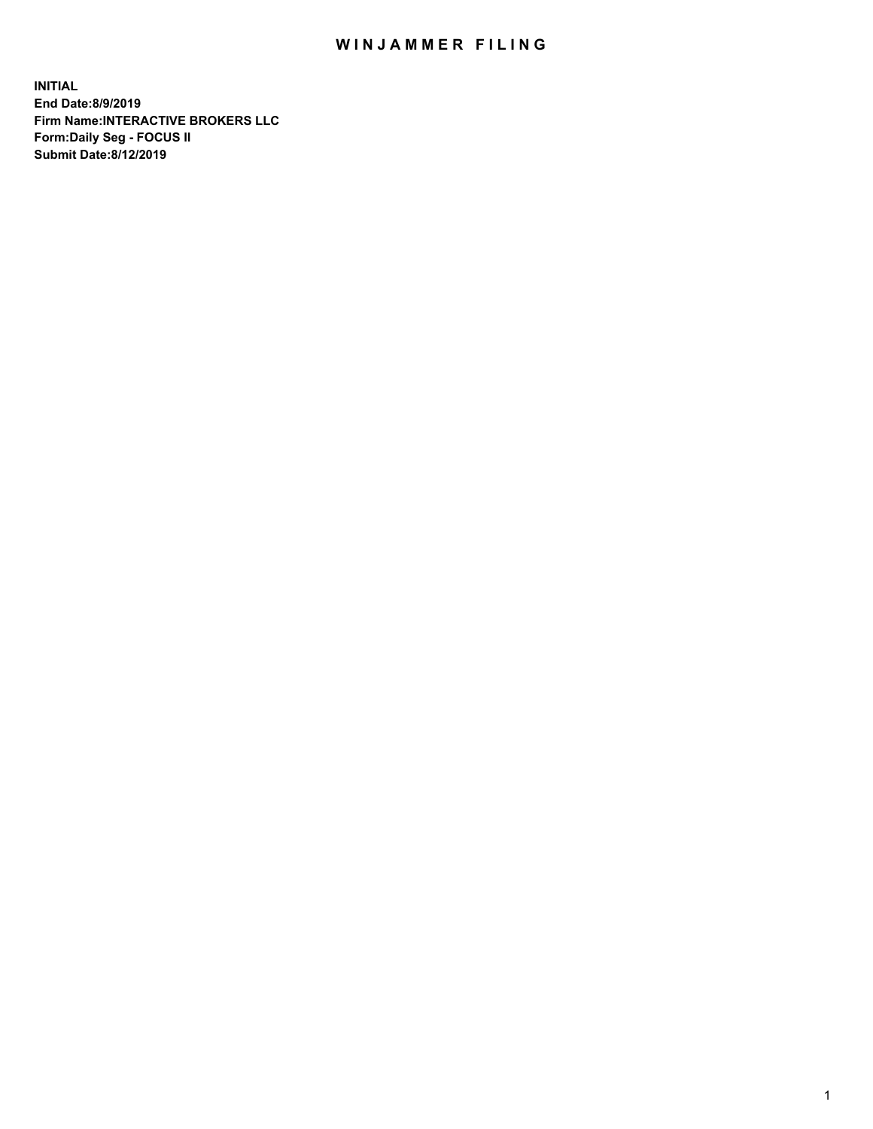## WIN JAMMER FILING

**INITIAL End Date:8/9/2019 Firm Name:INTERACTIVE BROKERS LLC Form:Daily Seg - FOCUS II Submit Date:8/12/2019**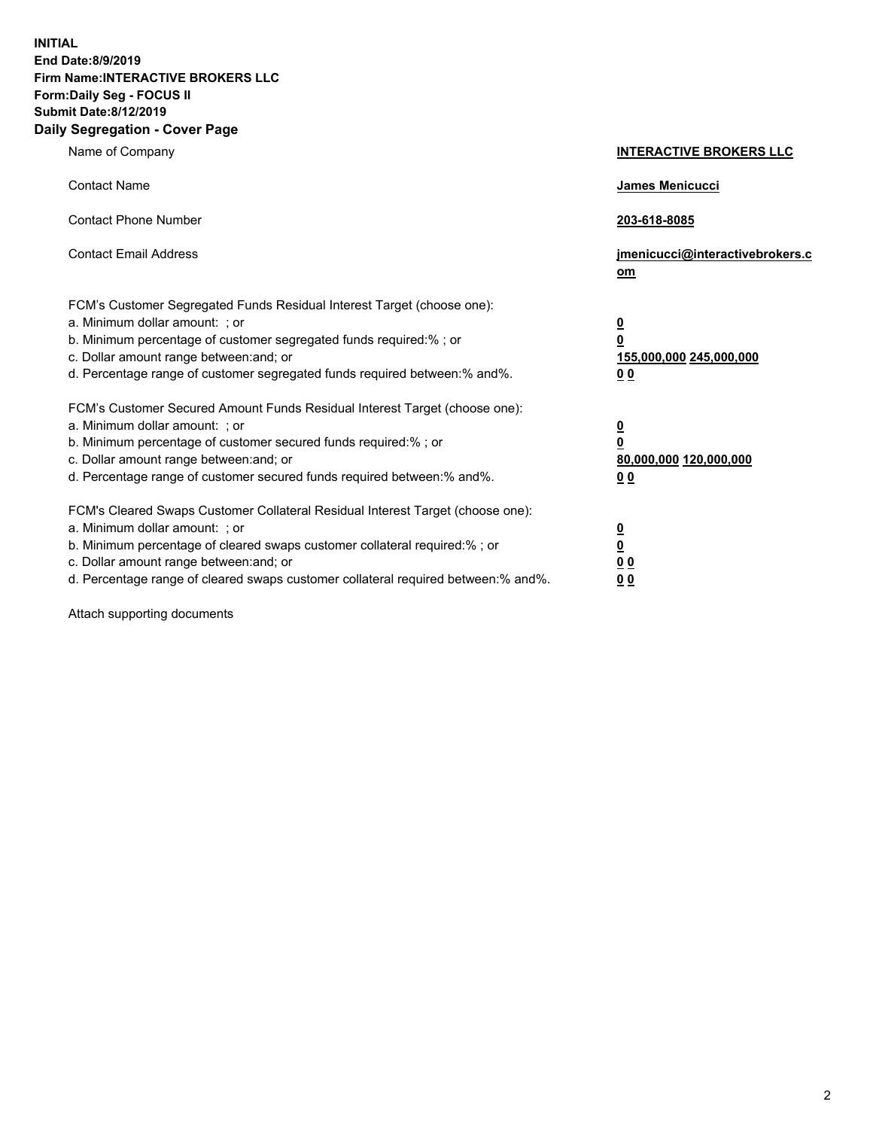**INITIAL End Date:8/9/2019 Firm Name:INTERACTIVE BROKERS LLC Form:Daily Seg - FOCUS II Submit Date:8/12/2019 Daily Segregation - Cover Page**

| Name of Company                                                                                                                                                                                                                                                                                                                | <b>INTERACTIVE BROKERS LLC</b>                                                                 |
|--------------------------------------------------------------------------------------------------------------------------------------------------------------------------------------------------------------------------------------------------------------------------------------------------------------------------------|------------------------------------------------------------------------------------------------|
| <b>Contact Name</b>                                                                                                                                                                                                                                                                                                            | <b>James Menicucci</b>                                                                         |
| <b>Contact Phone Number</b>                                                                                                                                                                                                                                                                                                    | 203-618-8085                                                                                   |
| <b>Contact Email Address</b>                                                                                                                                                                                                                                                                                                   | jmenicucci@interactivebrokers.c<br>om                                                          |
| FCM's Customer Segregated Funds Residual Interest Target (choose one):<br>a. Minimum dollar amount: ; or<br>b. Minimum percentage of customer segregated funds required:% ; or<br>c. Dollar amount range between: and; or<br>d. Percentage range of customer segregated funds required between:% and%.                         | $\overline{\mathbf{0}}$<br>$\overline{\mathbf{0}}$<br>155,000,000 245,000,000<br>00            |
| FCM's Customer Secured Amount Funds Residual Interest Target (choose one):<br>a. Minimum dollar amount: ; or<br>b. Minimum percentage of customer secured funds required:%; or<br>c. Dollar amount range between: and; or<br>d. Percentage range of customer secured funds required between:% and%.                            | $\overline{\mathbf{0}}$<br>$\overline{\mathbf{0}}$<br>80,000,000 120,000,000<br>0 <sub>0</sub> |
| FCM's Cleared Swaps Customer Collateral Residual Interest Target (choose one):<br>a. Minimum dollar amount: ; or<br>b. Minimum percentage of cleared swaps customer collateral required:% ; or<br>c. Dollar amount range between: and; or<br>d. Percentage range of cleared swaps customer collateral required between:% and%. | $\overline{\mathbf{0}}$<br><u>0</u><br>0 <sub>0</sub><br>00                                    |

Attach supporting documents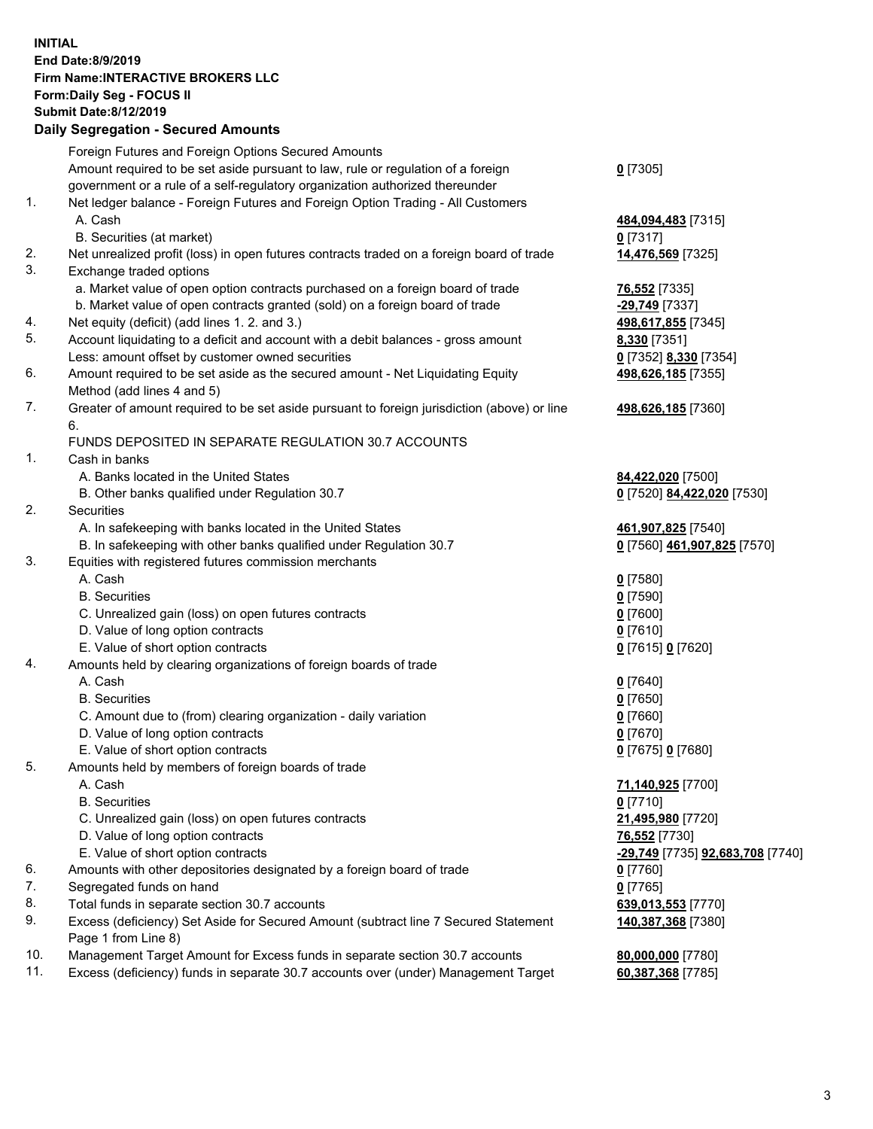## **INITIAL End Date:8/9/2019 Firm Name:INTERACTIVE BROKERS LLC Form:Daily Seg - FOCUS II Submit Date:8/12/2019 Daily Segregation - Secured Amounts**

|     | Daily Əeyleyatıoli - Əeculeu Allıoulits                                                     |                                                      |
|-----|---------------------------------------------------------------------------------------------|------------------------------------------------------|
|     | Foreign Futures and Foreign Options Secured Amounts                                         |                                                      |
|     | Amount required to be set aside pursuant to law, rule or regulation of a foreign            | $0$ [7305]                                           |
|     | government or a rule of a self-regulatory organization authorized thereunder                |                                                      |
| 1.  | Net ledger balance - Foreign Futures and Foreign Option Trading - All Customers             |                                                      |
|     | A. Cash                                                                                     | 484,094,483 [7315]                                   |
|     | B. Securities (at market)                                                                   | $0$ [7317]                                           |
| 2.  | Net unrealized profit (loss) in open futures contracts traded on a foreign board of trade   | 14,476,569 [7325]                                    |
| 3.  | Exchange traded options                                                                     |                                                      |
|     | a. Market value of open option contracts purchased on a foreign board of trade              | 76,552 [7335]                                        |
|     | b. Market value of open contracts granted (sold) on a foreign board of trade                | -29,749 [7337]                                       |
| 4.  | Net equity (deficit) (add lines 1. 2. and 3.)                                               | 498,617,855 [7345]                                   |
| 5.  | Account liquidating to a deficit and account with a debit balances - gross amount           | 8,330 [7351]                                         |
|     | Less: amount offset by customer owned securities                                            | 0 [7352] 8,330 [7354]                                |
| 6.  | Amount required to be set aside as the secured amount - Net Liquidating Equity              | 498,626,185 [7355]                                   |
|     | Method (add lines 4 and 5)                                                                  |                                                      |
| 7.  | Greater of amount required to be set aside pursuant to foreign jurisdiction (above) or line | 498,626,185 [7360]                                   |
|     | 6.                                                                                          |                                                      |
|     | FUNDS DEPOSITED IN SEPARATE REGULATION 30.7 ACCOUNTS                                        |                                                      |
| 1.  | Cash in banks                                                                               |                                                      |
|     | A. Banks located in the United States                                                       | 84,422,020 [7500]                                    |
|     | B. Other banks qualified under Regulation 30.7                                              | 0 [7520] 84,422,020 [7530]                           |
| 2.  | <b>Securities</b><br>A. In safekeeping with banks located in the United States              |                                                      |
|     | B. In safekeeping with other banks qualified under Regulation 30.7                          | 461,907,825 [7540]<br>0 [7560] 461,907,825 [7570]    |
| 3.  | Equities with registered futures commission merchants                                       |                                                      |
|     | A. Cash                                                                                     | $0$ [7580]                                           |
|     | <b>B.</b> Securities                                                                        | $0$ [7590]                                           |
|     | C. Unrealized gain (loss) on open futures contracts                                         | $0$ [7600]                                           |
|     | D. Value of long option contracts                                                           | $0$ [7610]                                           |
|     | E. Value of short option contracts                                                          | 0 [7615] 0 [7620]                                    |
| 4.  | Amounts held by clearing organizations of foreign boards of trade                           |                                                      |
|     | A. Cash                                                                                     | $0$ [7640]                                           |
|     | <b>B.</b> Securities                                                                        | $0$ [7650]                                           |
|     | C. Amount due to (from) clearing organization - daily variation                             | $0$ [7660]                                           |
|     | D. Value of long option contracts                                                           | 0 [7670]                                             |
|     | E. Value of short option contracts                                                          | 0 [7675] 0 [7680]                                    |
| 5.  | Amounts held by members of foreign boards of trade                                          |                                                      |
|     | A. Cash                                                                                     | 71,140,925 [7700]                                    |
|     | <b>B.</b> Securities                                                                        | $0$ [7710]                                           |
|     | C. Unrealized gain (loss) on open futures contracts                                         | 21,495,980 [7720]                                    |
|     | D. Value of long option contracts                                                           | 76,552 [7730]                                        |
|     | E. Value of short option contracts                                                          | <mark>-29,749</mark> [7735] <b>92,683,708</b> [7740] |
| 6.  | Amounts with other depositories designated by a foreign board of trade                      | 0 [7760]                                             |
| 7.  | Segregated funds on hand                                                                    | $0$ [7765]                                           |
| 8.  | Total funds in separate section 30.7 accounts                                               | 639,013,553 [7770]                                   |
| 9.  | Excess (deficiency) Set Aside for Secured Amount (subtract line 7 Secured Statement         | 140,387,368 [7380]                                   |
|     | Page 1 from Line 8)                                                                         |                                                      |
| 10. | Management Target Amount for Excess funds in separate section 30.7 accounts                 | 80,000,000 [7780]                                    |
| 11. | Excess (deficiency) funds in separate 30.7 accounts over (under) Management Target          | 60,387,368 [7785]                                    |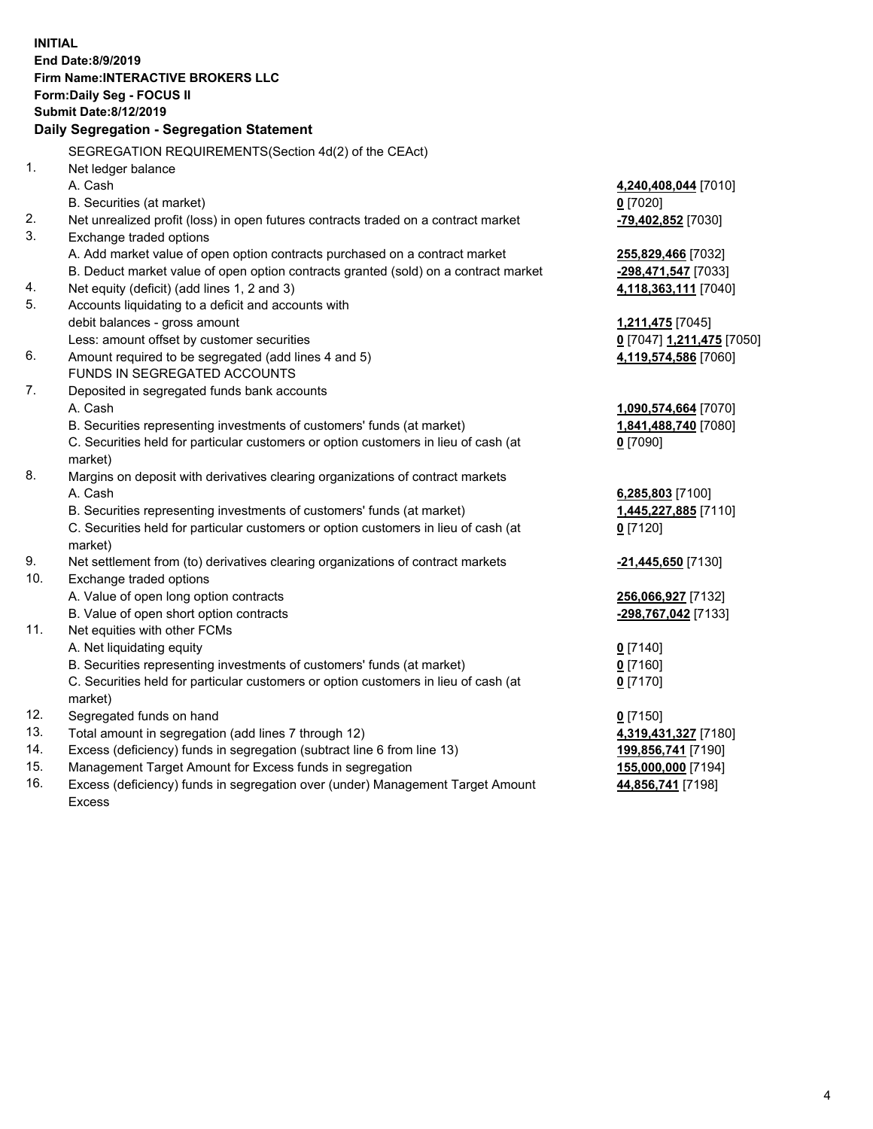**INITIAL End Date:8/9/2019 Firm Name:INTERACTIVE BROKERS LLC Form:Daily Seg - FOCUS II Submit Date:8/12/2019 Daily Segregation - Segregation Statement** SEGREGATION REQUIREMENTS(Section 4d(2) of the CEAct) 1. Net ledger balance A. Cash **4,240,408,044** [7010] B. Securities (at market) **0** [7020] 2. Net unrealized profit (loss) in open futures contracts traded on a contract market **-79,402,852** [7030] 3. Exchange traded options A. Add market value of open option contracts purchased on a contract market **255,829,466** [7032] B. Deduct market value of open option contracts granted (sold) on a contract market **-298,471,547** [7033] 4. Net equity (deficit) (add lines 1, 2 and 3) **4,118,363,111** [7040] 5. Accounts liquidating to a deficit and accounts with debit balances - gross amount **1,211,475** [7045] Less: amount offset by customer securities **0** [7047] **1,211,475** [7050] 6. Amount required to be segregated (add lines 4 and 5) **4,119,574,586** [7060] FUNDS IN SEGREGATED ACCOUNTS 7. Deposited in segregated funds bank accounts A. Cash **1,090,574,664** [7070] B. Securities representing investments of customers' funds (at market) **1,841,488,740** [7080] C. Securities held for particular customers or option customers in lieu of cash (at market) **0** [7090] 8. Margins on deposit with derivatives clearing organizations of contract markets A. Cash **6,285,803** [7100] B. Securities representing investments of customers' funds (at market) **1,445,227,885** [7110] C. Securities held for particular customers or option customers in lieu of cash (at market) **0** [7120] 9. Net settlement from (to) derivatives clearing organizations of contract markets **-21,445,650** [7130] 10. Exchange traded options A. Value of open long option contracts **256,066,927** [7132] B. Value of open short option contracts **-298,767,042** [7133] 11. Net equities with other FCMs A. Net liquidating equity **0** [7140] B. Securities representing investments of customers' funds (at market) **0** [7160] C. Securities held for particular customers or option customers in lieu of cash (at market) **0** [7170] 12. Segregated funds on hand **0** [7150] 13. Total amount in segregation (add lines 7 through 12) **4,319,431,327** [7180] 14. Excess (deficiency) funds in segregation (subtract line 6 from line 13) **199,856,741** [7190] 15. Management Target Amount for Excess funds in segregation **155,000,000** [7194]

16. Excess (deficiency) funds in segregation over (under) Management Target Amount Excess

4

**44,856,741** [7198]